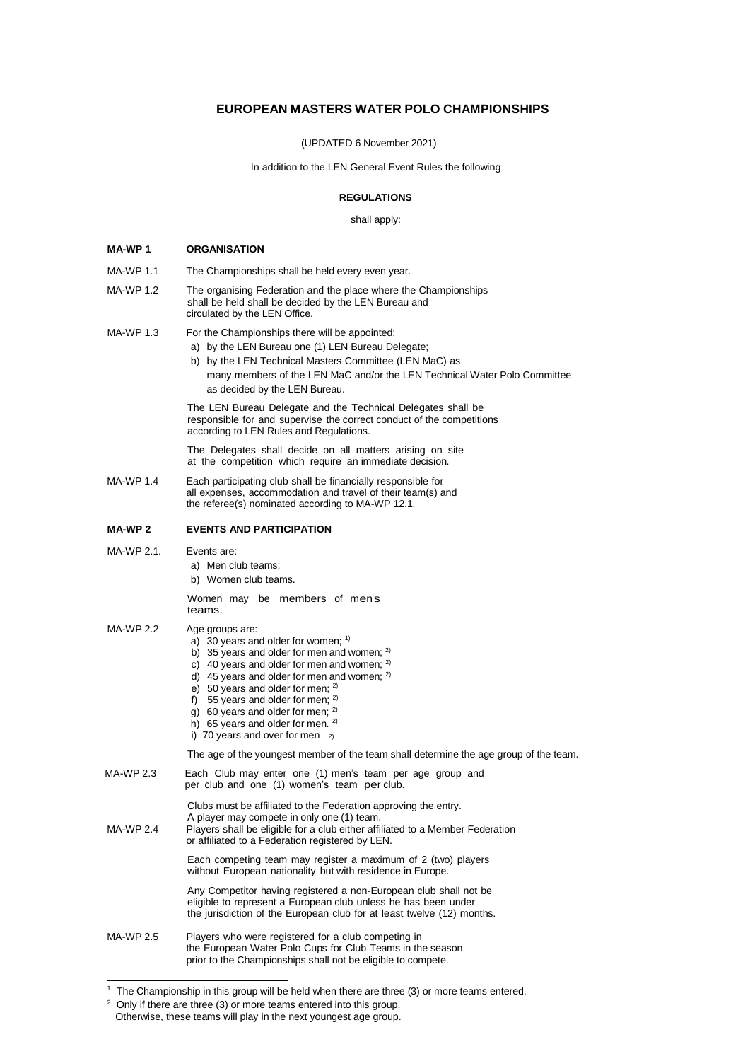# **EUROPEAN MASTERS WATER POLO CHAMPIONSHIPS**

(UPDATED 6 November 2021)

In addition to the LEN General Event Rules the following

# **REGULATIONS**

shall apply:

# **MA-WP 1 ORGANISATION**

| MA-WP 1.1          | The Championships shall be held every even year.                                                                                                                                                                                                                                                                                                                                                          |  |
|--------------------|-----------------------------------------------------------------------------------------------------------------------------------------------------------------------------------------------------------------------------------------------------------------------------------------------------------------------------------------------------------------------------------------------------------|--|
| <b>MA-WP 1.2</b>   | The organising Federation and the place where the Championships<br>shall be held shall be decided by the LEN Bureau and<br>circulated by the LEN Office.                                                                                                                                                                                                                                                  |  |
| MA-WP 1.3          | For the Championships there will be appointed:<br>a) by the LEN Bureau one (1) LEN Bureau Delegate;<br>b) by the LEN Technical Masters Committee (LEN MaC) as<br>many members of the LEN MaC and/or the LEN Technical Water Polo Committee<br>as decided by the LEN Bureau.                                                                                                                               |  |
|                    | The LEN Bureau Delegate and the Technical Delegates shall be<br>responsible for and supervise the correct conduct of the competitions<br>according to LEN Rules and Regulations.                                                                                                                                                                                                                          |  |
|                    | The Delegates shall decide on all matters arising on site<br>at the competition which require an immediate decision.                                                                                                                                                                                                                                                                                      |  |
| MA-WP 1.4          | Each participating club shall be financially responsible for<br>all expenses, accommodation and travel of their team(s) and<br>the referee(s) nominated according to MA-WP 12.1.                                                                                                                                                                                                                          |  |
| MA-WP <sub>2</sub> | <b>EVENTS AND PARTICIPATION</b>                                                                                                                                                                                                                                                                                                                                                                           |  |
| MA-WP 2.1.         | Events are:<br>a) Men club teams;<br>b) Women club teams.                                                                                                                                                                                                                                                                                                                                                 |  |
|                    | Women may be members of men's<br>teams.                                                                                                                                                                                                                                                                                                                                                                   |  |
| <b>MA-WP 2.2</b>   | Age groups are:<br>a) 30 years and older for women; $1$<br>b) 35 years and older for men and women; 2)<br>c) 40 years and older for men and women; $2$<br>d) 45 years and older for men and women; $2$<br>e) 50 years and older for men; $^{2)}$<br>f) 55 years and older for men; $2$<br>g) 60 years and older for men; $2$<br>h) 65 years and older for men. $2$<br>i) 70 years and over for men $_{2}$ |  |
|                    | The age of the youngest member of the team shall determine the age group of the team.                                                                                                                                                                                                                                                                                                                     |  |
| MA-WP 2.3          | Each Club may enter one (1) men's team per age group and<br>per club and one (1) women's team per club.                                                                                                                                                                                                                                                                                                   |  |
| MA-WP 2.4          | Clubs must be affiliated to the Federation approving the entry.<br>A player may compete in only one (1) team.<br>Players shall be eligible for a club either affiliated to a Member Federation<br>or affiliated to a Federation registered by LEN.                                                                                                                                                        |  |
|                    | Each competing team may register a maximum of 2 (two) players<br>without European nationality but with residence in Europe.                                                                                                                                                                                                                                                                               |  |
|                    | Any Competitor having registered a non-European club shall not be<br>eligible to represent a European club unless he has been under<br>the jurisdiction of the European club for at least twelve (12) months.                                                                                                                                                                                             |  |
| MA-WP 2.5          | Players who were registered for a club competing in<br>the European Water Polo Cups for Club Teams in the season<br>prior to the Championships shall not be eligible to compete.                                                                                                                                                                                                                          |  |

 $1$  The Championship in this group will be held when there are three (3) or more teams entered.

 $2$  Only if there are three (3) or more teams entered into this group.

Otherwise, these teams will play in the next youngest age group.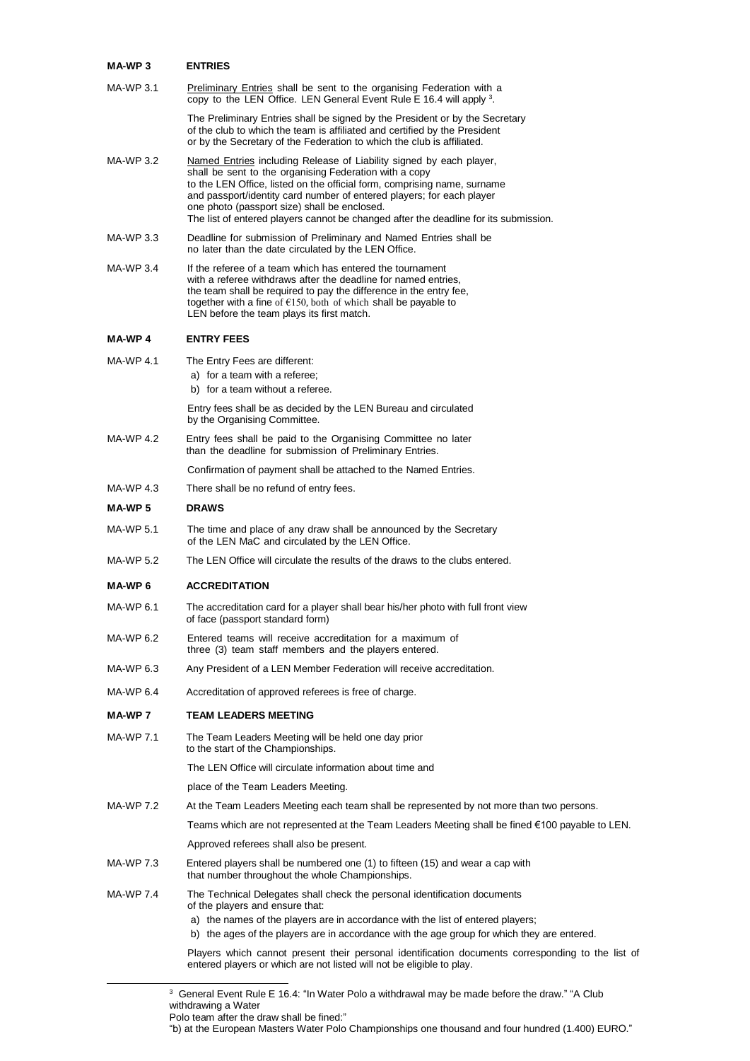| MA-WP 3 | <b>ENTRIES</b> |
|---------|----------------|
|         |                |

| MA-WP 3.1        | Preliminary Entries shall be sent to the organising Federation with a<br>copy to the LEN Office. LEN General Event Rule E 16.4 will apply 3.                                                                                                                                                                                                                                                                               |  |  |
|------------------|----------------------------------------------------------------------------------------------------------------------------------------------------------------------------------------------------------------------------------------------------------------------------------------------------------------------------------------------------------------------------------------------------------------------------|--|--|
|                  | The Preliminary Entries shall be signed by the President or by the Secretary<br>of the club to which the team is affiliated and certified by the President<br>or by the Secretary of the Federation to which the club is affiliated.                                                                                                                                                                                       |  |  |
| MA-WP 3.2        | Named Entries including Release of Liability signed by each player,<br>shall be sent to the organising Federation with a copy<br>to the LEN Office, listed on the official form, comprising name, surname<br>and passport/identity card number of entered players; for each player<br>one photo (passport size) shall be enclosed.<br>The list of entered players cannot be changed after the deadline for its submission. |  |  |
| MA-WP 3.3        | Deadline for submission of Preliminary and Named Entries shall be<br>no later than the date circulated by the LEN Office.                                                                                                                                                                                                                                                                                                  |  |  |
| MA-WP 3.4        | If the referee of a team which has entered the tournament<br>with a referee withdraws after the deadline for named entries,<br>the team shall be required to pay the difference in the entry fee,<br>together with a fine of $E(150, \text{both of which shall be payable to})$<br>LEN before the team plays its first match.                                                                                              |  |  |
| <b>MA-WP4</b>    | <b>ENTRY FEES</b>                                                                                                                                                                                                                                                                                                                                                                                                          |  |  |
| <b>MA-WP 4.1</b> | The Entry Fees are different:<br>a) for a team with a referee;<br>b) for a team without a referee.                                                                                                                                                                                                                                                                                                                         |  |  |
|                  | Entry fees shall be as decided by the LEN Bureau and circulated<br>by the Organising Committee.                                                                                                                                                                                                                                                                                                                            |  |  |
| MA-WP 4.2        | Entry fees shall be paid to the Organising Committee no later<br>than the deadline for submission of Preliminary Entries.                                                                                                                                                                                                                                                                                                  |  |  |
|                  | Confirmation of payment shall be attached to the Named Entries.                                                                                                                                                                                                                                                                                                                                                            |  |  |
| MA-WP 4.3        | There shall be no refund of entry fees.                                                                                                                                                                                                                                                                                                                                                                                    |  |  |
| <b>MA-WP5</b>    | <b>DRAWS</b>                                                                                                                                                                                                                                                                                                                                                                                                               |  |  |
| MA-WP 5.1        | The time and place of any draw shall be announced by the Secretary<br>of the LEN MaC and circulated by the LEN Office.                                                                                                                                                                                                                                                                                                     |  |  |
| MA-WP 5.2        | The LEN Office will circulate the results of the draws to the clubs entered.                                                                                                                                                                                                                                                                                                                                               |  |  |
| MA-WP 6          | <b>ACCREDITATION</b>                                                                                                                                                                                                                                                                                                                                                                                                       |  |  |
| MA-WP 6.1        | The accreditation card for a player shall bear his/her photo with full front view<br>of face (passport standard form)                                                                                                                                                                                                                                                                                                      |  |  |
| MA-WP 6.2        | Entered teams will receive accreditation for a maximum of<br>three (3) team staff members and the players entered.                                                                                                                                                                                                                                                                                                         |  |  |
| MA-WP 6.3        | Any President of a LEN Member Federation will receive accreditation.                                                                                                                                                                                                                                                                                                                                                       |  |  |
| MA-WP 6.4        | Accreditation of approved referees is free of charge.                                                                                                                                                                                                                                                                                                                                                                      |  |  |
| MA-WP 7          | <b>TEAM LEADERS MEETING</b>                                                                                                                                                                                                                                                                                                                                                                                                |  |  |
| <b>MA-WP 7.1</b> | The Team Leaders Meeting will be held one day prior<br>to the start of the Championships.                                                                                                                                                                                                                                                                                                                                  |  |  |
|                  | The LEN Office will circulate information about time and                                                                                                                                                                                                                                                                                                                                                                   |  |  |
|                  | place of the Team Leaders Meeting.                                                                                                                                                                                                                                                                                                                                                                                         |  |  |
| MA-WP 7.2        | At the Team Leaders Meeting each team shall be represented by not more than two persons.                                                                                                                                                                                                                                                                                                                                   |  |  |
|                  | Teams which are not represented at the Team Leaders Meeting shall be fined €100 payable to LEN.                                                                                                                                                                                                                                                                                                                            |  |  |
|                  | Approved referees shall also be present.                                                                                                                                                                                                                                                                                                                                                                                   |  |  |
| MA-WP 7.3        | Entered players shall be numbered one (1) to fifteen (15) and wear a cap with<br>that number throughout the whole Championships.                                                                                                                                                                                                                                                                                           |  |  |
| MA-WP 7.4        | The Technical Delegates shall check the personal identification documents<br>of the players and ensure that:                                                                                                                                                                                                                                                                                                               |  |  |
|                  | a) the names of the players are in accordance with the list of entered players;<br>b) the ages of the players are in accordance with the age group for which they are entered.                                                                                                                                                                                                                                             |  |  |
|                  | Players which cannot present their personal identification documents corresponding to the list of<br>entered players or which are not listed will not be eligible to play.                                                                                                                                                                                                                                                 |  |  |
|                  |                                                                                                                                                                                                                                                                                                                                                                                                                            |  |  |

 $3$  General Event Rule E 16.4: "In Water Polo a withdrawal may be made before the draw." "A Club withdrawing a Water

"b) at the European Masters Water Polo Championships one thousand and four hundred (1.400) EURO."

Polo team after the draw shall be fined:"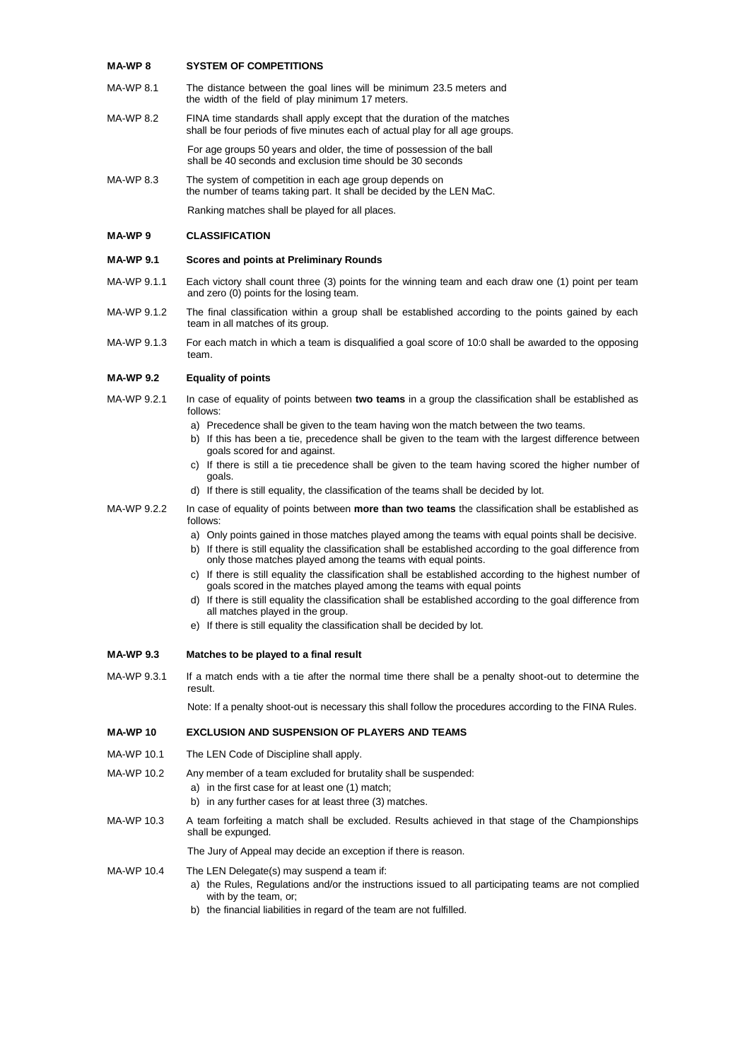## **MA-WP 8 SYSTEM OF COMPETITIONS**

- MA-WP 8.1 The distance between the goal lines will be minimum 23.5 meters and the width of the field of play minimum 17 meters.
- MA-WP 8.2 FINA time standards shall apply except that the duration of the matches shall be four periods of five minutes each of actual play for all age groups.

For age groups 50 years and older, the time of possession of the ball shall be 40 seconds and exclusion time should be 30 seconds

MA-WP 8.3 The system of competition in each age group depends on the number of teams taking part. It shall be decided by the LEN MaC.

Ranking matches shall be played for all places.

## **MA-WP 9 CLASSIFICATION**

## **MA-WP 9.1 Scores and points at Preliminary Rounds**

- MA-WP 9.1.1 Each victory shall count three (3) points for the winning team and each draw one (1) point per team and zero (0) points for the losing team.
- MA-WP 9.1.2 The final classification within a group shall be established according to the points gained by each team in all matches of its group.
- MA-WP 9.1.3 For each match in which a team is disqualified a goal score of 10:0 shall be awarded to the opposing team.

#### **MA-WP 9.2 Equality of points**

- MA-WP 9.2.1 In case of equality of points between **two teams** in a group the classification shall be established as follows:
	- a) Precedence shall be given to the team having won the match between the two teams.
	- b) If this has been a tie, precedence shall be given to the team with the largest difference between goals scored for and against.
	- c) If there is still a tie precedence shall be given to the team having scored the higher number of goals.
	- d) If there is still equality, the classification of the teams shall be decided by lot.
- MA-WP 9.2.2 In case of equality of points between **more than two teams** the classification shall be established as follows:
	- a) Only points gained in those matches played among the teams with equal points shall be decisive.
	- b) If there is still equality the classification shall be established according to the goal difference from only those matches played among the teams with equal points.
	- c) If there is still equality the classification shall be established according to the highest number of goals scored in the matches played among the teams with equal points
	- d) If there is still equality the classification shall be established according to the goal difference from all matches played in the group.
	- e) If there is still equality the classification shall be decided by lot.

## **MA-WP 9.3 Matches to be played to a final result**

MA-WP 9.3.1 If a match ends with a tie after the normal time there shall be a penalty shoot-out to determine the result.

Note: If a penalty shoot-out is necessary this shall follow the procedures according to the FINA Rules.

## **MA-WP 10 EXCLUSION AND SUSPENSION OF PLAYERS AND TEAMS**

- MA-WP 10.1 The LEN Code of Discipline shall apply.
- MA-WP 10.2 Any member of a team excluded for brutality shall be suspended:
	- a) in the first case for at least one (1) match;
	- b) in any further cases for at least three (3) matches.
- MA-WP 10.3 A team forfeiting a match shall be excluded. Results achieved in that stage of the Championships shall be expunged.

The Jury of Appeal may decide an exception if there is reason.

## MA-WP 10.4 The LEN Delegate(s) may suspend a team if:

- a) the Rules, Regulations and/or the instructions issued to all participating teams are not complied with by the team, or;
- b) the financial liabilities in regard of the team are not fulfilled.